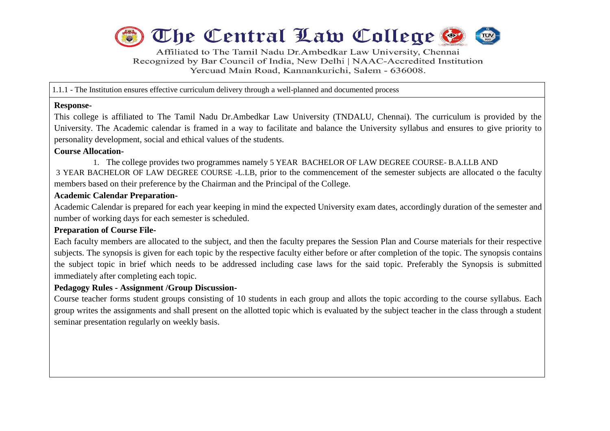

Affiliated to The Tamil Nadu Dr.Ambedkar Law University, Chennai Recognized by Bar Council of India, New Delhi | NAAC-Accredited Institution Yercuad Main Road, Kannankurichi, Salem - 636008.

1.1.1 - The Institution ensures effective curriculum delivery through a well-planned and documented process

#### **Response-**

This college is affiliated to The Tamil Nadu Dr.Ambedkar Law University (TNDALU, Chennai). The curriculum is provided by the University. The Academic calendar is framed in a way to facilitate and balance the University syllabus and ensures to give priority to personality development, social and ethical values of the students.

### **Course Allocation-**

1. The college provides two programmes namely 5 YEAR BACHELOR OF LAW DEGREE COURSE- B.A.LLB AND 3 YEAR BACHELOR OF LAW DEGREE COURSE -L.LB, prior to the commencement of the semester subjects are allocated o the faculty members based on their preference by the Chairman and the Principal of the College.

### **Academic Calendar Preparation-**

Academic Calendar is prepared for each year keeping in mind the expected University exam dates, accordingly duration of the semester and number of working days for each semester is scheduled.

# **Preparation of Course File-**

Each faculty members are allocated to the subject, and then the faculty prepares the Session Plan and Course materials for their respective subjects. The synopsis is given for each topic by the respective faculty either before or after completion of the topic. The synopsis contains the subject topic in brief which needs to be addressed including case laws for the said topic. Preferably the Synopsis is submitted immediately after completing each topic.

# **Pedagogy Rules - Assignment /Group Discussion-**

Course teacher forms student groups consisting of 10 students in each group and allots the topic according to the course syllabus. Each group writes the assignments and shall present on the allotted topic which is evaluated by the subject teacher in the class through a student seminar presentation regularly on weekly basis.